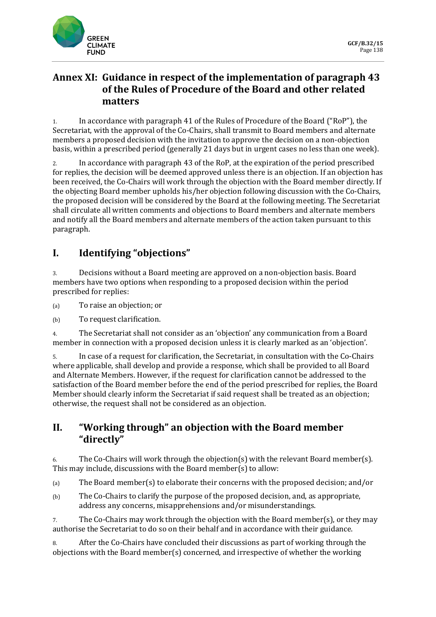

## **Annex XI: Guidance in respect of the implementation of paragraph 43 of the Rules of Procedure of the Board and other related matters**

1. In accordance with paragraph 41 of the Rules of Procedure of the Board ("RoP"), the Secretariat, with the approval of the Co-Chairs, shall transmit to Board members and alternate members a proposed decision with the invitation to approve the decision on a non-objection basis, within a prescribed period (generally 21 days but in urgent cases no less than one week).

2. In accordance with paragraph 43 of the RoP, at the expiration of the period prescribed for replies, the decision will be deemed approved unless there is an objection. If an objection has been received, the Co-Chairs will work through the objection with the Board member directly. If the objecting Board member upholds his/her objection following discussion with the Co-Chairs, the proposed decision will be considered by the Board at the following meeting. The Secretariat shall circulate all written comments and objections to Board members and alternate members and notify all the Board members and alternate members of the action taken pursuant to this paragraph.

# **I. Identifying "objections"**

3. Decisions without a Board meeting are approved on a non-objection basis. Board members have two options when responding to a proposed decision within the period prescribed for replies:

(a) To raise an objection; or

(b) To request clarification.

4. The Secretariat shall not consider as an 'objection' any communication from a Board member in connection with a proposed decision unless it is clearly marked as an 'objection'.

5. In case of a request for clarification, the Secretariat, in consultation with the Co-Chairs where applicable, shall develop and provide a response, which shall be provided to all Board and Alternate Members. However, if the request for clarification cannot be addressed to the satisfaction of the Board member before the end of the period prescribed for replies, the Board Member should clearly inform the Secretariat if said request shall be treated as an objection; otherwise, the request shall not be considered as an objection.

### **II. "Working through" an objection with the Board member "directly"**

6. The Co-Chairs will work through the objection(s) with the relevant Board member(s). This may include, discussions with the Board member(s) to allow:

(a) The Board member(s) to elaborate their concerns with the proposed decision; and/or

(b) The Co-Chairs to clarify the purpose of the proposed decision, and, as appropriate, address any concerns, misapprehensions and/or misunderstandings.

7. The Co-Chairs may work through the objection with the Board member(s), or they may authorise the Secretariat to do so on their behalf and in accordance with their guidance.

8. After the Co-Chairs have concluded their discussions as part of working through the objections with the Board member(s) concerned, and irrespective of whether the working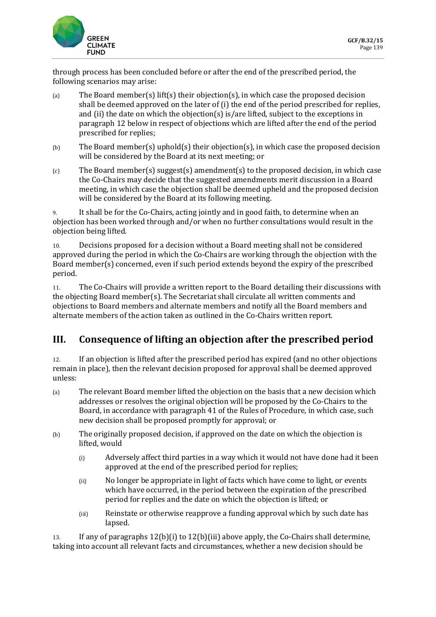

through process has been concluded before or after the end of the prescribed period, the following scenarios may arise:

- (a) The Board member(s) lift(s) their objection(s), in which case the proposed decision shall be deemed approved on the later of (i) the end of the period prescribed for replies, and (ii) the date on which the objection(s) is/are lifted, subject to the exceptions in paragraph 12 below in respect of objections which are lifted after the end of the period prescribed for replies;
- (b) The Board member(s) uphold(s) their objection(s), in which case the proposed decision will be considered by the Board at its next meeting; or
- $(c)$  The Board member(s) suggest(s) amendment(s) to the proposed decision, in which case the Co-Chairs may decide that the suggested amendments merit discussion in a Board meeting, in which case the objection shall be deemed upheld and the proposed decision will be considered by the Board at its following meeting.

9. It shall be for the Co-Chairs, acting jointly and in good faith, to determine when an objection has been worked through and/or when no further consultations would result in the objection being lifted.

10. Decisions proposed for a decision without a Board meeting shall not be considered approved during the period in which the Co-Chairs are working through the objection with the Board member(s) concerned, even if such period extends beyond the expiry of the prescribed period.

11. The Co-Chairs will provide a written report to the Board detailing their discussions with the objecting Board member(s). The Secretariat shall circulate all written comments and objections to Board members and alternate members and notify all the Board members and alternate members of the action taken as outlined in the Co-Chairs written report.

### **III. Consequence of lifting an objection after the prescribed period**

12. If an objection is lifted after the prescribed period has expired (and no other objections remain in place), then the relevant decision proposed for approval shall be deemed approved unless:

- (a) The relevant Board member lifted the objection on the basis that a new decision which addresses or resolves the original objection will be proposed by the Co-Chairs to the Board, in accordance with paragraph 41 of the Rules of Procedure, in which case, such new decision shall be proposed promptly for approval; or
- (b) The originally proposed decision, if approved on the date on which the objection is lifted, would
	- (i) Adversely affect third parties in a way which it would not have done had it been approved at the end of the prescribed period for replies;
	- (ii) No longer be appropriate in light of facts which have come to light, or events which have occurred, in the period between the expiration of the prescribed period for replies and the date on which the objection is lifted; or
	- (iii) Reinstate or otherwise reapprove a funding approval which by such date has lapsed.

13. If any of paragraphs 12(b)(i) to 12(b)(iii) above apply, the Co-Chairs shall determine, taking into account all relevant facts and circumstances, whether a new decision should be